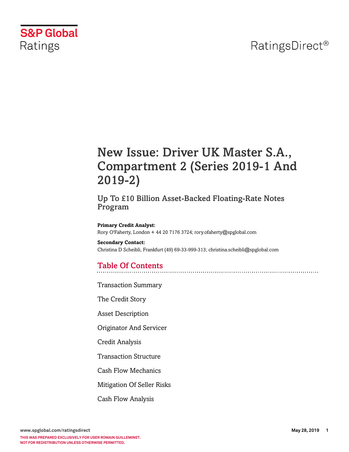## RatingsDirect<sup>®</sup>



## New Issue: Driver UK Master S.A., Compartment 2 (Series 2019-1 And 2019-2)

### Up To £10 Billion Asset-Backed Floating-Rate Notes Program

**Primary Credit Analyst:** Rory O'Faherty, London + 44 20 7176 3724; rory.ofaherty@spglobal.com

**Secondary Contact:** Christina D Scheibli, Frankfurt (49) 69-33-999-313; christina.scheibli@spglobal.com

### Table Of Contents

[Transaction Summary](#page-3-0)

[The Credit Story](#page-3-1)

[Asset Description](#page-5-0)

[Originator And Servicer](#page-6-0)

[Credit Analysis](#page-7-0)

[Transaction Structure](#page-11-0)

[Cash Flow Mechanics](#page-12-0)

[Mitigation Of Seller Risks](#page-15-0)

[Cash Flow Analysis](#page-16-0)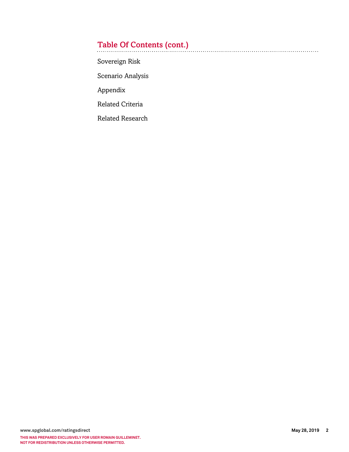## Table Of Contents (cont.)

[Sovereign Risk](#page-17-0)

[Scenario Analysis](#page-18-0)

[Appendix](#page-18-1)

[Related Criteria](#page-18-2)

[Related Research](#page-19-0)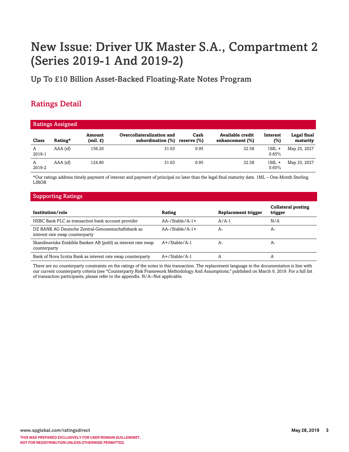# New Issue: Driver UK Master S.A., Compartment 2 (Series 2019-1 And 2019-2)

Up To £10 Billion Asset-Backed Floating-Rate Notes Program

### Ratings Detail

| <b>Ratings Assigned</b> |            |                    |                                                |                     |                                     |                  |                         |  |
|-------------------------|------------|--------------------|------------------------------------------------|---------------------|-------------------------------------|------------------|-------------------------|--|
| Class                   | Rating*    | Amount<br>(mil. £) | Overcollateralization and<br>subordination (%) | Cash<br>reserve (%) | Available credit<br>enhancement (%) | Interest<br>(%)  | Legal final<br>maturity |  |
| A<br>2019-1             | $AAA$ (sf) | 156.20             | 31.63                                          | 0.95                | 32.58                               | $1ML +$<br>0.65% | May 25, 2027            |  |
| A<br>2019-2             | $AAA$ (sf) | 124.90             | 31.63                                          | 0.95                | 32.58                               | $1ML +$<br>0.65% | May 25, 2027            |  |

\*Our ratings address timely payment of interest and payment of principal no later than the legal final maturity date. 1ML – One-Month Sterling LIBOR

### Supporting Ratings

| Institution/role                                                                      | Rating                 | Replacement trigger | <b>Collateral posting</b><br>trigger |
|---------------------------------------------------------------------------------------|------------------------|---------------------|--------------------------------------|
| HSBC Bank PLC as transaction bank account provider                                    | $AA$ -/Stable/ $A$ -1+ | $A/A-1$             | N/A                                  |
| DZ BANK AG Deutsche Zentral-Genossenschaftsbank as<br>interest rate swap counterparty | $AA$ -/Stable/A-1+     | A-                  | A-                                   |
| Skandinaviska Enskilda Banken AB (publ) as interest rate swap<br>counterparty         | $A+$ /Stable/A-1       | А-                  | A-                                   |
| Bank of Nova Scotia Bank as interest rate swap counterparty                           | $A+$ /Stable/A-1       |                     | $\mathsf{A}$                         |

There are no counterparty constraints on the ratings of the notes in this transaction. The replacement language in the documentation is line with our current counterparty criteria (see "Counterparty Risk Framework Methodology And Assumptions," published on March 9, 2019. For a full list of transaction participants, please refer to the appendix. N/A--Not applicable.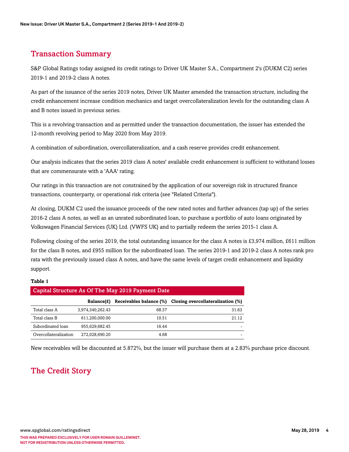### <span id="page-3-0"></span>Transaction Summary

S&P Global Ratings today assigned its credit ratings to Driver UK Master S.A., Compartment 2's (DUKM C2) series 2019-1 and 2019-2 class A notes.

As part of the issuance of the series 2019 notes, Driver UK Master amended the transaction structure, including the credit enhancement increase condition mechanics and target overcollateralization levels for the outstanding class A and B notes issued in previous series.

This is a revolving transaction and as permitted under the transaction documentation, the issuer has extended the 12-month revolving period to May 2020 from May 2019.

A combination of subordination, overcollateralization, and a cash reserve provides credit enhancement.

Our analysis indicates that the series 2019 class A notes' available credit enhancement is sufficient to withstand losses that are commensurate with a 'AAA' rating.

Our ratings in this transaction are not constrained by the application of our sovereign risk in structured finance transactions, counterparty, or operational risk criteria (see "Related Criteria").

At closing, DUKM C2 used the issuance proceeds of the new rated notes and further advances (tap up) of the series 2016-2 class A notes, as well as an unrated subordinated loan, to purchase a portfolio of auto loans originated by Volkswagen Financial Services (UK) Ltd. (VWFS UK) and to partially redeem the series 2015-1 class A.

Following closing of the series 2019, the total outstanding issuance for the class A notes is £3,974 million, £611 million for the class B notes, and £955 million for the subordinated loan. The series 2019-1 and 2019-2 class A notes rank pro rata with the previously issued class A notes, and have the same levels of target credit enhancement and liquidity support.

#### **Table 1**

| <b>Capital Structure As Of The May 2019 Payment Date</b> |                  |                         |                                   |  |  |  |  |
|----------------------------------------------------------|------------------|-------------------------|-----------------------------------|--|--|--|--|
|                                                          | Balance(£)       | Receivables balance (%) | Closing overcollateralization (%) |  |  |  |  |
| Total class A                                            | 3,974,340,262.43 | 68.37                   | 31.63                             |  |  |  |  |
| Total class B                                            | 611,200,000.00   | 10.51                   | 21.12                             |  |  |  |  |
| Subordinated loan                                        | 955.629.682.45   | 16.44                   |                                   |  |  |  |  |
| Overcollateralization                                    | 272.028.690.20   | 4.68                    |                                   |  |  |  |  |

<span id="page-3-1"></span>New receivables will be discounted at 5.872%, but the issuer will purchase them at a 2.83% purchase price discount.

### The Credit Story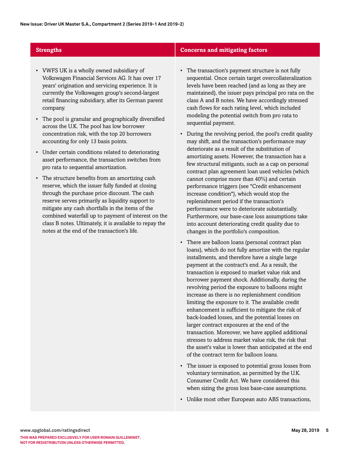- VWFS UK is a wholly owned subsidiary of Volkswagen Financial Services AG. It has over 17 years' origination and servicing experience. It is currently the Volkswagen group's second-largest retail financing subsidiary, after its German parent company.
- The pool is granular and geographically diversified across the U.K. The pool has low borrower concentration risk, with the top 20 borrowers accounting for only 13 basis points.
- Under certain conditions related to deteriorating asset performance, the transaction switches from pro rata to sequential amortization.
- The structure benefits from an amortizing cash reserve, which the issuer fully funded at closing through the purchase price discount. The cash reserve serves primarily as liquidity support to mitigate any cash shortfalls in the items of the combined waterfall up to payment of interest on the class B notes. Ultimately, it is available to repay the notes at the end of the transaction's life.

### **Strengths Concerns and mitigating factors**

- The transaction's payment structure is not fully sequential. Once certain target overcollateralization levels have been reached (and as long as they are maintained), the issuer pays principal pro rata on the class A and B notes. We have accordingly stressed cash flows for each rating level, which included modeling the potential switch from pro rata to sequential payment.
- During the revolving period, the pool's credit quality may shift, and the transaction's performance may deteriorate as a result of the substitution of amortizing assets. However, the transaction has a few structural mitigants, such as a cap on personal contract plan agreement loan used vehicles (which cannot comprise more than 40%) and certain performance triggers (see "Credit enhancement increase condition"), which would stop the replenishment period if the transaction's performance were to deteriorate substantially. Furthermore, our base-case loss assumptions take into account deteriorating credit quality due to changes in the portfolio's composition.
- There are balloon loans (personal contract plan loans), which do not fully amortize with the regular installments, and therefore have a single large payment at the contract's end. As a result, the transaction is exposed to market value risk and borrower payment shock. Additionally, during the revolving period the exposure to balloons might increase as there is no replenishment condition limiting the exposure to it. The available credit enhancement is sufficient to mitigate the risk of back-loaded losses, and the potential losses on larger contract exposures at the end of the transaction. Moreover, we have applied additional stresses to address market value risk, the risk that the asset's value is lower than anticipated at the end of the contract term for balloon loans.
- The issuer is exposed to potential gross losses from voluntary termination, as permitted by the U.K. Consumer Credit Act. We have considered this when sizing the gross loss base-case assumptions.
- Unlike most other European auto ABS transactions,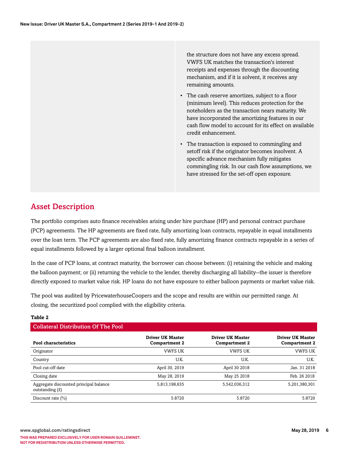the structure does not have any excess spread. VWFS UK matches the transaction's interest receipts and expenses through the discounting mechanism, and if it is solvent, it receives any remaining amounts.

- The cash reserve amortizes, subject to a floor (minimum level). This reduces protection for the noteholders as the transaction nears maturity. We have incorporated the amortizing features in our cash flow model to account for its effect on available credit enhancement.
- The transaction is exposed to commingling and setoff risk if the originator becomes insolvent. A specific advance mechanism fully mitigates commingling risk. In our cash flow assumptions, we have stressed for the set-off open exposure.

### <span id="page-5-0"></span>Asset Description

The portfolio comprises auto finance receivables arising under hire purchase (HP) and personal contract purchase (PCP) agreements. The HP agreements are fixed rate, fully amortizing loan contracts, repayable in equal installments over the loan term. The PCP agreements are also fixed rate, fully amortizing finance contracts repayable in a series of equal installments followed by a larger optional final balloon installment.

In the case of PCP loans, at contract maturity, the borrower can choose between: (i) retaining the vehicle and making the balloon payment; or (ii) returning the vehicle to the lender, thereby discharging all liability--the issuer is therefore directly exposed to market value risk. HP loans do not have exposure to either balloon payments or market value risk.

The pool was audited by PricewaterhouseCoopers and the scope and results are within our permitted range. At closing, the securitized pool complied with the eligibility criteria.

### **Table 2**

| <b>Collateral Distribution Of The Pool</b>                  |                                                 |                                                 |                                                 |  |  |  |  |
|-------------------------------------------------------------|-------------------------------------------------|-------------------------------------------------|-------------------------------------------------|--|--|--|--|
| Pool characteristics                                        | <b>Driver UK Master</b><br><b>Compartment 2</b> | <b>Driver UK Master</b><br><b>Compartment 2</b> | <b>Driver UK Master</b><br><b>Compartment 2</b> |  |  |  |  |
| Originator                                                  | <b>VWFS UK</b>                                  | <b>VWFS UK</b>                                  | <b>VWFS UK</b>                                  |  |  |  |  |
| Country                                                     | U.K.                                            | U.K.                                            | U.K.                                            |  |  |  |  |
| Pool cut-off date                                           | April 30, 2019                                  | April 30 2018                                   | Jan. 31 2018                                    |  |  |  |  |
| Closing date                                                | May 28, 2019                                    | May 25 2018                                     | Feb. 26 2018                                    |  |  |  |  |
| Aggregate discounted principal balance<br>outstanding $(E)$ | 5,813,198,635                                   | 5,542,036,312                                   | 5,201,380,301                                   |  |  |  |  |
| Discount rate $(\% )$                                       | 5.8720                                          | 5.8720                                          | 5.8720                                          |  |  |  |  |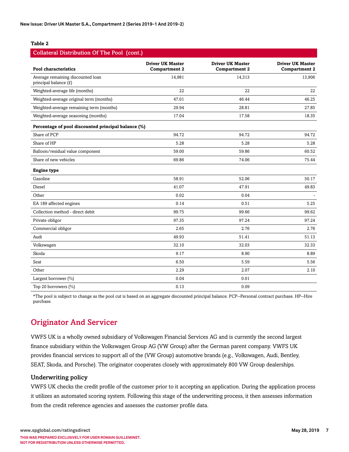#### **Table 2**

| Collateral Distribution Of The Pool (cont.)                |                                                 |                                                 |                                                 |  |  |  |  |
|------------------------------------------------------------|-------------------------------------------------|-------------------------------------------------|-------------------------------------------------|--|--|--|--|
| <b>Pool characteristics</b>                                | <b>Driver UK Master</b><br><b>Compartment 2</b> | <b>Driver UK Master</b><br><b>Compartment 2</b> | <b>Driver UK Master</b><br><b>Compartment 2</b> |  |  |  |  |
| Average remaining discounted loan<br>principal balance (£) | 14,981                                          | 14,313                                          | 13,906                                          |  |  |  |  |
| Weighted-average life (months)                             | 22                                              | 22                                              | 22                                              |  |  |  |  |
| Weighted-average original term (months)                    | 47.01                                           | 46.44                                           | 46.25                                           |  |  |  |  |
| Weighted-average remaining term (months)                   | 29.94                                           | 28.81                                           | 27.85                                           |  |  |  |  |
| Weighted-average seasoning (months)                        | 17.04                                           | 17.58                                           | 18.35                                           |  |  |  |  |
| Percentage of pool discounted principal balance (%)        |                                                 |                                                 |                                                 |  |  |  |  |
| Share of PCP                                               | 94.72                                           | 94.72                                           | 94.72                                           |  |  |  |  |
| Share of HP                                                | 5.28                                            | 5.28                                            | 5.28                                            |  |  |  |  |
| Balloon/residual value component                           | 59.00                                           | 59.86                                           | 60.52                                           |  |  |  |  |
| Share of new vehicles                                      | 69.86                                           | 74.06                                           | 75.44                                           |  |  |  |  |
| <b>Engine type</b>                                         |                                                 |                                                 |                                                 |  |  |  |  |
| Gasoline                                                   | 58.91                                           | 52.06                                           | 50.17                                           |  |  |  |  |
| Diesel                                                     | 41.07                                           | 47.91                                           | 49.83                                           |  |  |  |  |
| Other                                                      | 0.02                                            | 0.04                                            |                                                 |  |  |  |  |
| EA 189 affected engines                                    | 0.14                                            | 0.51                                            | 5.25                                            |  |  |  |  |
| Collection method - direct debit                           | 99.75                                           | 99.66                                           | 99.62                                           |  |  |  |  |
| Private obligor                                            | 97.35                                           | 97.24                                           | 97.24                                           |  |  |  |  |
| Commercial obligor                                         | 2.65                                            | 2.76                                            | 2.76                                            |  |  |  |  |
| Audi                                                       | 49.93                                           | 51.41                                           | 51.13                                           |  |  |  |  |
| Volkswagen                                                 | 32.10                                           | 32.03                                           | 32.33                                           |  |  |  |  |
| Skoda                                                      | 9.17                                            | 8.90                                            | 8.89                                            |  |  |  |  |
| Seat                                                       | 6.50                                            | 5.59                                            | 5.56                                            |  |  |  |  |
| Other                                                      | 2.29                                            | 2.07                                            | 2.10                                            |  |  |  |  |
| Largest borrower (%)                                       | 0.04                                            | 0.01                                            |                                                 |  |  |  |  |
| Top 20 borrowers (%)                                       | 0.13                                            | 0.09                                            |                                                 |  |  |  |  |

\*The pool is subject to change as the pool cut is based on an aggregate discounted principal balance. PCP--Personal contract purchase. HP--Hire purchase.

### <span id="page-6-0"></span>Originator And Servicer

VWFS UK is a wholly owned subsidiary of Volkswagen Financial Services AG and is currently the second largest finance subsidiary within the Volkswagen Group AG (VW Group) after the German parent company. VWFS UK provides financial services to support all of the (VW Group) automotive brands (e.g., Volkswagen, Audi, Bentley, SEAT, Skoda, and Porsche). The originator cooperates closely with approximately 800 VW Group dealerships.

### Underwriting policy

VWFS UK checks the credit profile of the customer prior to it accepting an application. During the application process it utilizes an automated scoring system. Following this stage of the underwriting process, it then assesses information from the credit reference agencies and assesses the customer profile data.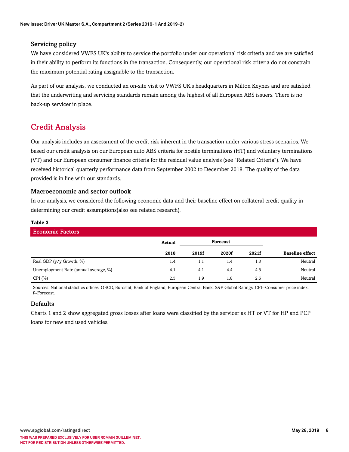### Servicing policy

We have considered VWFS UK's ability to service the portfolio under our operational risk criteria and we are satisfied in their ability to perform its functions in the transaction. Consequently, our operational risk criteria do not constrain the maximum potential rating assignable to the transaction.

As part of our analysis, we conducted an on-site visit to VWFS UK's headquarters in Milton Keynes and are satisfied that the underwriting and servicing standards remain among the highest of all European ABS issuers. There is no back-up servicer in place.

### <span id="page-7-0"></span>Credit Analysis

Our analysis includes an assessment of the credit risk inherent in the transaction under various stress scenarios. We based our credit analysis on our European auto ABS criteria for hostile terminations (HT) and voluntary terminations (VT) and our European consumer finance criteria for the residual value analysis (see "Related Criteria"). We have received historical quarterly performance data from September 2002 to December 2018. The quality of the data provided is in line with our standards.

### Macroeconomic and sector outlook

In our analysis, we considered the following economic data and their baseline effect on collateral credit quality in determining our credit assumptions(also see related research).

### **Table 3**

| <b>Economic Factors</b>               |        |       |                 |       |                        |  |
|---------------------------------------|--------|-------|-----------------|-------|------------------------|--|
|                                       | Actual |       | <b>Forecast</b> |       |                        |  |
|                                       | 2018   | 2019f | 2020f           | 2021f | <b>Baseline effect</b> |  |
| Real GDP (y/y Growth, %)              | 1.4    | 1.1   | 1.4             | 1.3   | Neutral                |  |
| Unemployment Rate (annual average, %) | 4.1    | 4.1   | 4.4             | 4.5   | Neutral                |  |
| CPI $(\% )$                           | 2.5    | 1.9   | 1.8             | 2.6   | Neutral                |  |

Sources: National statistics offices, OECD, Eurostat, Bank of England, European Central Bank, S&P Global Ratings. CPI--Consumer price index. f--Forecast.

### Defaults

Charts 1 and 2 show aggregated gross losses after loans were classified by the servicer as HT or VT for HP and PCP loans for new and used vehicles.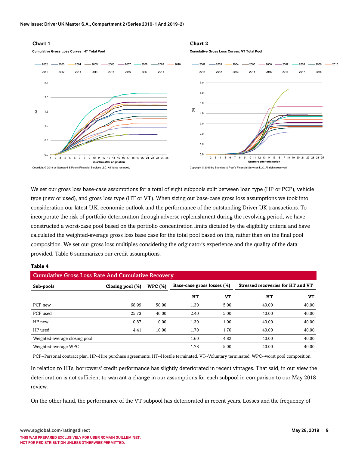#### **Chart 1 Chart 2 Cumulative Gross Loss Curves: HT Total Pool Cumulative Gross Loss Curves: VT Total Pool**  $-2002$   $-2003$   $-2004$   $-2005$   $-2006$   $-2007$   $-2008$   $-2008$   $-2009$  $-2002$  -2003 -2004 -2005 -2006 -2007 - $-2008$   $-2009$  $-2010$  $-2011$   $-2012$   $-2013$   $-2014$   $-2015$   $-2016$   $-2017$   $-2018$  $-2011$  -2012 -2013 -2014 -2015 -2016 -2016 -2017  $-2018$  $70 2.5$  $6.0$  $2.0$ 50  $(\%)$  $(%)$  $\overline{40}$  $3.0$  $1.0$  $20$  $0.5$  $10$  $0<sub>0</sub>$  $0.0$ 10 11 12 13 14 15 16 17 18 19 20 21 22 23 24 25  $23456789$ 10 11 12 13 14 15 16 17 18 19 20 21 22 23 24 25 1 2 3 4 5 6 7 8 9 Quarters after origination **Quarters after origination** Copyright @ 2019 by Standard & Poor's Financial Services LLC. All rights reserved. Copyright @ 2019 by Standard & Poor's Financial Services LLC. All rights reserved.

We set our gross loss base-case assumptions for a total of eight subpools split between loan type (HP or PCP), vehicle type (new or used), and gross loss type (HT or VT). When sizing our base-case gross loss assumptions we took into consideration our latest U.K. economic outlook and the performance of the outstanding Driver UK transactions. To incorporate the risk of portfolio deterioration through adverse replenishment during the revolving period, we have constructed a worst-case pool based on the portfolio concentration limits dictated by the eligibility criteria and have calculated the weighted-average gross loss base case for the total pool based on this, rather than on the final pool composition. We set our gross loss multiples considering the originator's experience and the quality of the data provided. Table 6 summarizes our credit assumptions.

#### **Table 4**

| <b>Cumulative Gross Loss Rate And Cumulative Recovery</b> |                  |                |                            |      |                                          |       |  |  |
|-----------------------------------------------------------|------------------|----------------|----------------------------|------|------------------------------------------|-------|--|--|
| Sub-pools                                                 | Closing pool (%) | <b>WPC (%)</b> | Base-case gross losses (%) |      | <b>Stressed recoveries for HT and VT</b> |       |  |  |
|                                                           |                  |                | HТ                         | VT   | HТ                                       | VT    |  |  |
| PCP new                                                   | 68.99            | 50.00          | 1.30                       | 5.00 | 40.00                                    | 40.00 |  |  |
| PCP used                                                  | 25.73            | 40.00          | 2.40                       | 5.00 | 40.00                                    | 40.00 |  |  |
| HP new                                                    | 0.87             | 0.00           | 1.30                       | 1.00 | 40.00                                    | 40.00 |  |  |
| HP used                                                   | 4.41             | 10.00          | 1.70                       | 1.70 | 40.00                                    | 40.00 |  |  |
| Weighted-average closing pool                             |                  |                | 1.60                       | 4.82 | 40.00                                    | 40.00 |  |  |
| Weighted-average WPC                                      |                  |                | 1.78                       | 5.00 | 40.00                                    | 40.00 |  |  |

PCP--Personal contract plan. HP--Hire purchase agreements. HT--Hostile terminated. VT--Voluntary terminated. WPC--worst pool composition.

In relation to HTs, borrowers' credit performance has slightly deteriorated in recent vintages. That said, in our view the deterioration is not sufficient to warrant a change in our assumptions for each subpool in comparison to our May 2018 review.

On the other hand, the performance of the VT subpool has deteriorated in recent years. Losses and the frequency of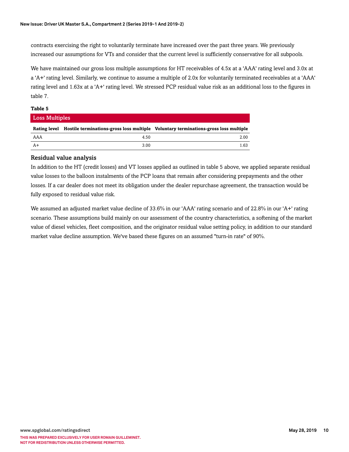contracts exercising the right to voluntarily terminate have increased over the past three years. We previously increased our assumptions for VTs and consider that the current level is sufficiently conservative for all subpools.

We have maintained our gross loss multiple assumptions for HT receivables of 4.5x at a 'AAA' rating level and 3.0x at a 'A+' rating level. Similarly, we continue to assume a multiple of 2.0x for voluntarily terminated receivables at a 'AAA' rating level and 1.63x at a 'A+' rating level. We stressed PCP residual value risk as an additional loss to the figures in table 7.

#### **Table 5**

| Loss Multiples |      |                                                                                                  |  |  |  |  |  |
|----------------|------|--------------------------------------------------------------------------------------------------|--|--|--|--|--|
|                |      | Rating level Hostile terminations-gross loss multiple Voluntary terminations-gross loss multiple |  |  |  |  |  |
| AAA            | 4.50 | 2.00                                                                                             |  |  |  |  |  |
| $A+$           | 3.00 | 1.63                                                                                             |  |  |  |  |  |

### Residual value analysis

In addition to the HT (credit losses) and VT losses applied as outlined in table 5 above, we applied separate residual value losses to the balloon instalments of the PCP loans that remain after considering prepayments and the other losses. If a car dealer does not meet its obligation under the dealer repurchase agreement, the transaction would be fully exposed to residual value risk.

We assumed an adjusted market value decline of 33.6% in our 'AAA' rating scenario and of 22.8% in our 'A+' rating scenario. These assumptions build mainly on our assessment of the country characteristics, a softening of the market value of diesel vehicles, fleet composition, and the originator residual value setting policy, in addition to our standard market value decline assumption. We've based these figures on an assumed "turn-in rate" of 90%.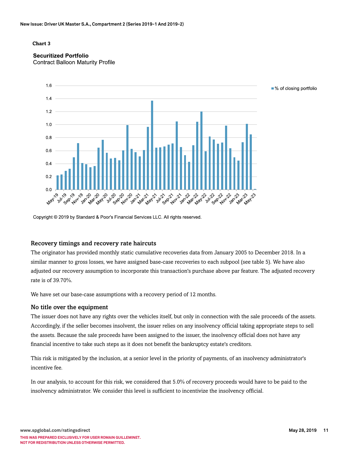#### **Chart 3**

### **Securitized Portfolio**

**Contract Balloon Maturity Profile** 



Copyright © 2019 by Standard & Poor's Financial Services LLC. All rights reserved.

### Recovery timings and recovery rate haircuts

The originator has provided monthly static cumulative recoveries data from January 2005 to December 2018. In a similar manner to gross losses, we have assigned base-case recoveries to each subpool (see table 5). We have also adjusted our recovery assumption to incorporate this transaction's purchase above par feature. The adjusted recovery rate is of 39.70%.

We have set our base-case assumptions with a recovery period of 12 months.

#### No title over the equipment

The issuer does not have any rights over the vehicles itself, but only in connection with the sale proceeds of the assets. Accordingly, if the seller becomes insolvent, the issuer relies on any insolvency official taking appropriate steps to sell the assets. Because the sale proceeds have been assigned to the issuer, the insolvency official does not have any financial incentive to take such steps as it does not benefit the bankruptcy estate's creditors.

This risk is mitigated by the inclusion, at a senior level in the priority of payments, of an insolvency administrator's incentive fee.

In our analysis, to account for this risk, we considered that 5.0% of recovery proceeds would have to be paid to the insolvency administrator. We consider this level is sufficient to incentivize the insolvency official.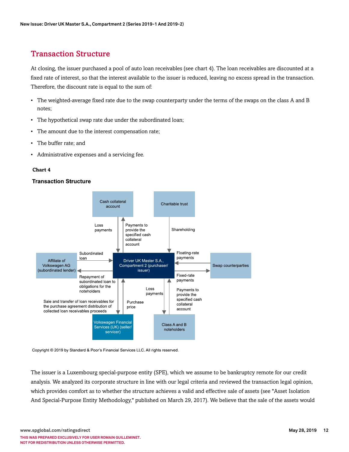### <span id="page-11-0"></span>Transaction Structure

At closing, the issuer purchased a pool of auto loan receivables (see chart 4). The loan receivables are discounted at a fixed rate of interest, so that the interest available to the issuer is reduced, leaving no excess spread in the transaction. Therefore, the discount rate is equal to the sum of:

- The weighted-average fixed rate due to the swap counterparty under the terms of the swaps on the class A and B notes;
- The hypothetical swap rate due under the subordinated loan;
- The amount due to the interest compensation rate;
- The buffer rate; and
- Administrative expenses and a servicing fee.

#### **Chart 4**

#### **Transaction Structure**



Copyright © 2019 by Standard & Poor's Financial Services LLC. All rights reserved.

The issuer is a Luxembourg special-purpose entity (SPE), which we assume to be bankruptcy remote for our credit analysis. We analyzed its corporate structure in line with our legal criteria and reviewed the transaction legal opinion, which provides comfort as to whether the structure achieves a valid and effective sale of assets (see "Asset Isolation And Special-Purpose Entity Methodology," published on March 29, 2017). We believe that the sale of the assets would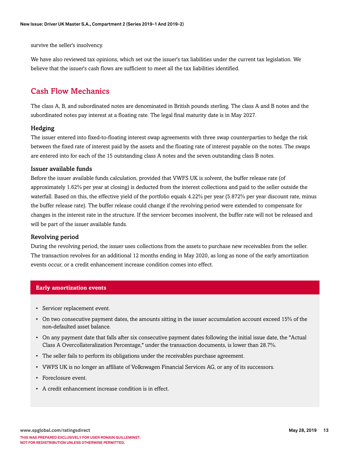survive the seller's insolvency.

We have also reviewed tax opinions, which set out the issuer's tax liabilities under the current tax legislation. We believe that the issuer's cash flows are sufficient to meet all the tax liabilities identified.

### <span id="page-12-0"></span>Cash Flow Mechanics

The class A, B, and subordinated notes are denominated in British pounds sterling. The class A and B notes and the subordinated notes pay interest at a floating rate. The legal final maturity date is in May 2027.

### Hedging

The issuer entered into fixed-to-floating interest swap agreements with three swap counterparties to hedge the risk between the fixed rate of interest paid by the assets and the floating rate of interest payable on the notes. The swaps are entered into for each of the 15 outstanding class A notes and the seven outstanding class B notes.

### Issuer available funds

Before the issuer available funds calculation, provided that VWFS UK is solvent, the buffer release rate (of approximately 1.62% per year at closing) is deducted from the interest collections and paid to the seller outside the waterfall. Based on this, the effective yield of the portfolio equals 4.22% per year (5.872% per year discount rate, minus the buffer release rate). The buffer release could change if the revolving period were extended to compensate for changes in the interest rate in the structure. If the servicer becomes insolvent, the buffer rate will not be released and will be part of the issuer available funds.

### Revolving period

During the revolving period, the issuer uses collections from the assets to purchase new receivables from the seller. The transaction revolves for an additional 12 months ending in May 2020, as long as none of the early amortization events occur, or a credit enhancement increase condition comes into effect.

### **Early amortization events**

- Servicer replacement event.
- On two consecutive payment dates, the amounts sitting in the issuer accumulation account exceed 15% of the non-defaulted asset balance.
- On any payment date that falls after six consecutive payment dates following the initial issue date, the "Actual Class A Overcollateralization Percentage," under the transaction documents, is lower than 28.7%.
- The seller fails to perform its obligations under the receivables purchase agreement.
- VWFS UK is no longer an affiliate of Volkswagen Financial Services AG, or any of its successors.
- Foreclosure event.
- A credit enhancement increase condition is in effect.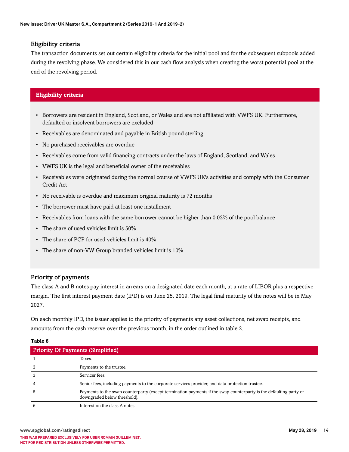### Eligibility criteria

The transaction documents set out certain eligibility criteria for the initial pool and for the subsequent subpools added during the revolving phase. We considered this in our cash flow analysis when creating the worst potential pool at the end of the revolving period.

### **Eligibility criteria**

- Borrowers are resident in England, Scotland, or Wales and are not affiliated with VWFS UK. Furthermore, defaulted or insolvent borrowers are excluded
- Receivables are denominated and payable in British pound sterling
- No purchased receivables are overdue
- Receivables come from valid financing contracts under the laws of England, Scotland, and Wales
- VWFS UK is the legal and beneficial owner of the receivables
- Receivables were originated during the normal course of VWFS UK's activities and comply with the Consumer Credit Act
- No receivable is overdue and maximum original maturity is 72 months
- The borrower must have paid at least one installment
- Receivables from loans with the same borrower cannot be higher than 0.02% of the pool balance
- The share of used vehicles limit is 50%
- The share of PCP for used vehicles limit is  $40\%$
- The share of non-VW Group branded vehicles limit is 10%

### Priority of payments

The class A and B notes pay interest in arrears on a designated date each month, at a rate of LIBOR plus a respective margin. The first interest payment date (IPD) is on June 25, 2019. The legal final maturity of the notes will be in May 2027.

On each monthly IPD, the issuer applies to the priority of payments any asset collections, net swap receipts, and amounts from the cash reserve over the previous month, in the order outlined in table 2.

#### **Table 6**

| <b>Priority Of Payments (Simplified)</b>                                                                                                           |  |  |  |  |
|----------------------------------------------------------------------------------------------------------------------------------------------------|--|--|--|--|
| Taxes.                                                                                                                                             |  |  |  |  |
| Payments to the trustee.                                                                                                                           |  |  |  |  |
| Servicer fees.                                                                                                                                     |  |  |  |  |
| Senior fees, including payments to the corporate services provider, and data protection trustee.                                                   |  |  |  |  |
| Payments to the swap counterparty (except termination payments if the swap counterparty is the defaulting party or<br>downgraded below threshold). |  |  |  |  |
| Interest on the class A notes.                                                                                                                     |  |  |  |  |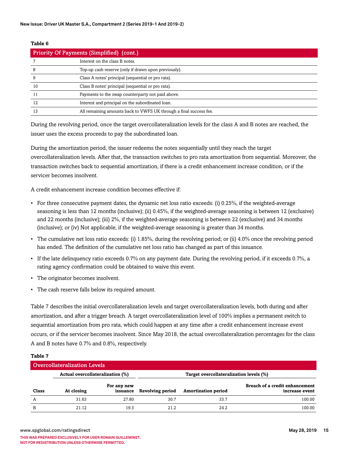#### **Table 6**

| <b>Priority Of Payments (Simplified) (cont.)</b> |                                                                    |  |  |  |
|--------------------------------------------------|--------------------------------------------------------------------|--|--|--|
|                                                  | Interest on the class B notes.                                     |  |  |  |
| 8                                                | Top-up cash reserve (only if drawn upon previously).               |  |  |  |
| 9                                                | Class A notes' principal (sequential or pro rata).                 |  |  |  |
| 10                                               | Class B notes' principal (sequential or pro rata).                 |  |  |  |
|                                                  | Payments to the swap counterparty not paid above.                  |  |  |  |
| 12                                               | Interest and principal on the subordinated loan.                   |  |  |  |
| 13                                               | All remaining amounts back to VWFS UK through a final success fee. |  |  |  |

During the revolving period, once the target overcollateralization levels for the class A and B notes are reached, the issuer uses the excess proceeds to pay the subordinated loan.

During the amortization period, the issuer redeems the notes sequentially until they reach the target overcollateralization levels. After that, the transaction switches to pro rata amortization from sequential. Moreover, the transaction switches back to sequential amortization, if there is a credit enhancement increase condition, or if the servicer becomes insolvent.

A credit enhancement increase condition becomes effective if:

- For three consecutive payment dates, the dynamic net loss ratio exceeds: (i) 0.25%, if the weighted-average seasoning is less than 12 months (inclusive); (ii) 0.45%, if the weighted-average seasoning is between 12 (exclusive) and 22 months (inclusive); (iii) 2%, if the weighted-average seasoning is between 22 (exclusive) and 34 months (inclusive); or (iv) Not applicable, if the weighted-average seasoning is greater than 34 months.
- The cumulative net loss ratio exceeds: (i) 1.85%, during the revolving period; or (ii) 4.0% once the revolving period has ended. The definition of the cumulative net loss ratio has changed as part of this issuance.
- If the late delinquency ratio exceeds 0.7% on any payment date. During the revolving period, if it exceeds 0.7%, a rating agency confirmation could be obtained to waive this event.
- The originator becomes insolvent.
- The cash reserve falls below its required amount.

Table 7 describes the initial overcollateralization levels and target overcollateralization levels, both during and after amortization, and after a trigger breach. A target overcollateralization level of 100% implies a permanent switch to sequential amortization from pro rata, which could happen at any time after a credit enhancement increase event occurs, or if the servicer becomes insolvent. Since May 2018, the actual overcollateralization percentages for the class A and B notes have 0.7% and 0.8%, respectively.

#### **Table 7**

| <b>Overcollateralization Levels</b> |                                  |                         |                                         |                            |                                                  |  |  |
|-------------------------------------|----------------------------------|-------------------------|-----------------------------------------|----------------------------|--------------------------------------------------|--|--|
|                                     | Actual overcollateralization (%) |                         | Target overcollateralization levels (%) |                            |                                                  |  |  |
| Class                               | At closing                       | For any new<br>issuance | <b>Revolving period</b>                 | <b>Amortization period</b> | Breach of a credit enhancement<br>increase event |  |  |
| A                                   | 31.63                            | 27.80                   | 30.7                                    | 33.7                       | 100.00                                           |  |  |
| B                                   | 21.12                            | 19.3                    | 21.2                                    | 24.2                       | 100.00                                           |  |  |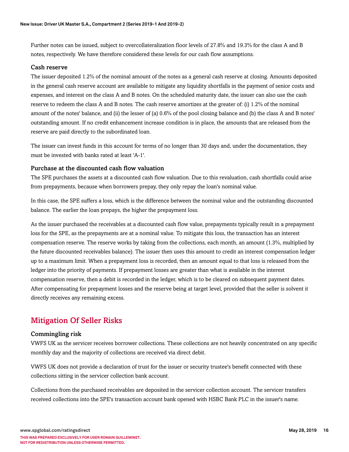Further notes can be issued, subject to overcollateralization floor levels of 27.8% and 19.3% for the class A and B notes, respectively. We have therefore considered these levels for our cash flow assumptions.

### Cash reserve

The issuer deposited 1.2% of the nominal amount of the notes as a general cash reserve at closing. Amounts deposited in the general cash reserve account are available to mitigate any liquidity shortfalls in the payment of senior costs and expenses, and interest on the class A and B notes. On the scheduled maturity date, the issuer can also use the cash reserve to redeem the class A and B notes. The cash reserve amortizes at the greater of: (i) 1.2% of the nominal amount of the notes' balance, and (ii) the lesser of (a) 0.6% of the pool closing balance and (b) the class A and B notes' outstanding amount. If no credit enhancement increase condition is in place, the amounts that are released from the reserve are paid directly to the subordinated loan.

The issuer can invest funds in this account for terms of no longer than 30 days and, under the documentation, they must be invested with banks rated at least 'A-1'.

### Purchase at the discounted cash flow valuation

The SPE purchases the assets at a discounted cash flow valuation. Due to this revaluation, cash shortfalls could arise from prepayments, because when borrowers prepay, they only repay the loan's nominal value.

In this case, the SPE suffers a loss, which is the difference between the nominal value and the outstanding discounted balance. The earlier the loan prepays, the higher the prepayment loss.

As the issuer purchased the receivables at a discounted cash flow value, prepayments typically result in a prepayment loss for the SPE, as the prepayments are at a nominal value. To mitigate this loss, the transaction has an interest compensation reserve. The reserve works by taking from the collections, each month, an amount (1.3%, multiplied by the future discounted receivables balance). The issuer then uses this amount to credit an interest compensation ledger up to a maximum limit. When a prepayment loss is recorded, then an amount equal to that loss is released from the ledger into the priority of payments. If prepayment losses are greater than what is available in the interest compensation reserve, then a debit is recorded in the ledger, which is to be cleared on subsequent payment dates. After compensating for prepayment losses and the reserve being at target level, provided that the seller is solvent it directly receives any remaining excess.

### <span id="page-15-0"></span>Mitigation Of Seller Risks

### Commingling risk

VWFS UK as the servicer receives borrower collections. These collections are not heavily concentrated on any specific monthly day and the majority of collections are received via direct debit.

VWFS UK does not provide a declaration of trust for the issuer or security trustee's benefit connected with these collections sitting in the servicer collection bank account.

Collections from the purchased receivables are deposited in the servicer collection account. The servicer transfers received collections into the SPE's transaction account bank opened with HSBC Bank PLC in the issuer's name.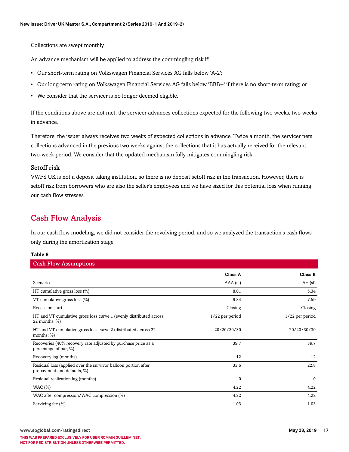Collections are swept monthly.

An advance mechanism will be applied to address the commingling risk if:

- Our short-term rating on Volkswagen Financial Services AG falls below 'A-2';
- Our long-term rating on Volkswagen Financial Services AG falls below 'BBB+' if there is no short-term rating; or
- We consider that the servicer is no longer deemed eligible.

If the conditions above are not met, the servicer advances collections expected for the following two weeks, two weeks in advance.

Therefore, the issuer always receives two weeks of expected collections in advance. Twice a month, the servicer nets collections advanced in the previous two weeks against the collections that it has actually received for the relevant two-week period. We consider that the updated mechanism fully mitigates commingling risk.

### Setoff risk

VWFS UK is not a deposit taking institution, so there is no deposit setoff risk in the transaction. However, there is setoff risk from borrowers who are also the seller's employees and we have sized for this potential loss when running our cash flow stresses.

### <span id="page-16-0"></span>Cash Flow Analysis

In our cash flow modeling, we did not consider the revolving period, and so we analyzed the transaction's cash flows only during the amortization stage.

#### **Table 8**

| <b>Cash Flow Assumptions</b>                                                                  |                 |                 |
|-----------------------------------------------------------------------------------------------|-----------------|-----------------|
|                                                                                               | Class A         | Class B         |
| Scenario                                                                                      | AAA (sf)        | $A + (sf)$      |
| HT cumulative gross loss $(\%)$                                                               | 8.01            | 5.34            |
| VT cumulative gross loss $(\%)$                                                               | 9.34            | 7.59            |
| Recession start                                                                               | Closing         | Closing         |
| HT and VT cumulative gross loss curve 1 (evenly distributed across<br>22 months; $\%$ )       | 1/22 per period | 1/22 per period |
| HT and VT cumulative gross loss curve 2 (distributed across 22<br>months; $\%$ )              | 20/20/30/30     | 20/20/30/30     |
| Recoveries (40% recovery rate adjusted by purchase price as a<br>percentage of par; %)        | 39.7            | 39.7            |
| Recovery lag (months)                                                                         | 12              | 12              |
| Residual loss (applied over the survivor balloon portion after<br>prepayment and defaults; %) | 33.6            | 22.8            |
| Residual realization lag (months)                                                             | $\mathbf 0$     | $\mathbf{0}$    |
| WAC $(\%)$                                                                                    | 4.22            | 4.22            |
| WAC after compression/WAC compression (%)                                                     | 4.22            | 4.22            |
| Servicing fee (%)                                                                             | 1.03            | 1.03            |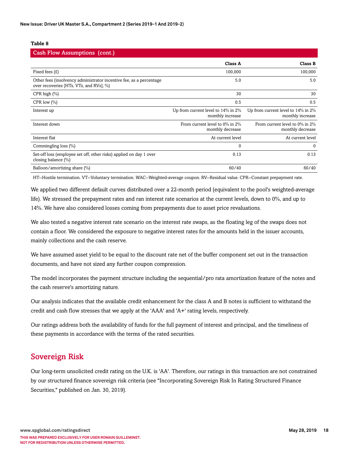#### **Table 8**

| <b>Cash Flow Assumptions (cont.)</b>                                                                           |                                                        |                                                        |
|----------------------------------------------------------------------------------------------------------------|--------------------------------------------------------|--------------------------------------------------------|
|                                                                                                                | <b>Class A</b>                                         | <b>Class B</b>                                         |
| Fixed fees $(E)$                                                                                               | 100,000                                                | 100,000                                                |
| Other fees (insolvency administrator incentive fee, as a percentage<br>over recoveries [HTs, VTs, and RVs]; %) | 5.0                                                    | 5.0                                                    |
| CPR high $(\%)$                                                                                                | 30                                                     | 30                                                     |
| CPR low $(\%)$                                                                                                 | 0.5                                                    | 0.5                                                    |
| Interest up                                                                                                    | Up from current level to 14% in 2%<br>monthly increase | Up from current level to 14% in 2%<br>monthly increase |
| Interest down                                                                                                  | From current level to 0% in 2%<br>monthly decrease     | From current level to 0% in 2%<br>monthly decrease     |
| Interest flat                                                                                                  | At current level                                       | At current level                                       |
| Commingling loss (%)                                                                                           | $\Omega$                                               | $\Omega$                                               |
| Set-off loss (employee set off, other risks) applied on day 1 over<br>closing balance $(\% )$                  | 0.13                                                   | 0.13                                                   |
| Balloon/amortizing share (%)                                                                                   | 60/40                                                  | 60/40                                                  |

HT--Hostile termination. VT--Voluntary termination. WAC--Weighted-average coupon. RV--Residual value. CPR--Constant prepayment rate.

We applied two different default curves distributed over a 22-month period (equivalent to the pool's weighted-average life). We stressed the prepayment rates and ran interest rate scenarios at the current levels, down to 0%, and up to 14%. We have also considered losses coming from prepayments due to asset price revaluations.

We also tested a negative interest rate scenario on the interest rate swaps, as the floating leg of the swaps does not contain a floor. We considered the exposure to negative interest rates for the amounts held in the issuer accounts, mainly collections and the cash reserve.

We have assumed asset yield to be equal to the discount rate net of the buffer component set out in the transaction documents, and have not sized any further coupon compression.

The model incorporates the payment structure including the sequential/pro rata amortization feature of the notes and the cash reserve's amortizing nature.

Our analysis indicates that the available credit enhancement for the class A and B notes is sufficient to withstand the credit and cash flow stresses that we apply at the 'AAA' and 'A+' rating levels, respectively.

Our ratings address both the availability of funds for the full payment of interest and principal, and the timeliness of these payments in accordance with the terms of the rated securities.

### <span id="page-17-0"></span>Sovereign Risk

Our long-term unsolicited credit rating on the U.K. is 'AA'. Therefore, our ratings in this transaction are not constrained by our structured finance sovereign risk criteria (see "Incorporating Sovereign Risk In Rating Structured Finance Securities," published on Jan. 30, 2019).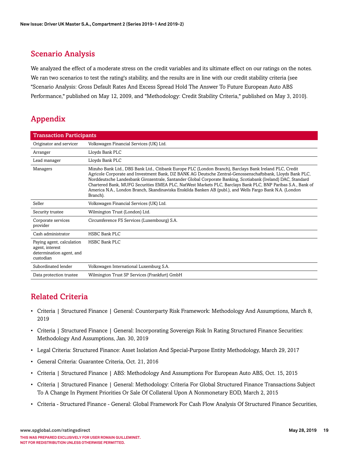### <span id="page-18-0"></span>Scenario Analysis

We analyzed the effect of a moderate stress on the credit variables and its ultimate effect on our ratings on the notes. We ran two scenarios to test the rating's stability, and the results are in line with our credit stability criteria (see "Scenario Analysis: Gross Default Rates And Excess Spread Hold The Answer To Future European Auto ABS Performance," published on May 12, 2009, and "Methodology: Credit Stability Criteria," published on May 3, 2010).

## <span id="page-18-1"></span>Appendix

| <b>Transaction Participants</b>                                                       |                                                                                                                                                                                                                                                                                                                                                                                                                                                                                                                                                                             |  |
|---------------------------------------------------------------------------------------|-----------------------------------------------------------------------------------------------------------------------------------------------------------------------------------------------------------------------------------------------------------------------------------------------------------------------------------------------------------------------------------------------------------------------------------------------------------------------------------------------------------------------------------------------------------------------------|--|
| Originator and servicer                                                               | Volkswagen Financial Services (UK) Ltd.                                                                                                                                                                                                                                                                                                                                                                                                                                                                                                                                     |  |
| Arranger                                                                              | Lloyds Bank PLC                                                                                                                                                                                                                                                                                                                                                                                                                                                                                                                                                             |  |
| Lead manager                                                                          | Lloyds Bank PLC                                                                                                                                                                                                                                                                                                                                                                                                                                                                                                                                                             |  |
| Managers                                                                              | Mizuho Bank Ltd., DBS Bank Ltd., Citibank Europe PLC (London Branch), Barclays Bank Ireland PLC, Credit<br>Agricole Corporate and Investment Bank, DZ BANK AG Deutsche Zentral-Genossenschaftsbank, Lloyds Bank PLC,<br>Norddeutsche Landesbank Girozentrale, Santander Global Corporate Banking, Scotiabank (Ireland) DAC, Standard<br>Chartered Bank, MUFG Securities EMEA PLC, NatWest Markets PLC, Barclays Bank PLC, BNP Paribas S.A., Bank of<br>America N.A., London Branch, Skandinaviska Enskilda Banken AB (publ.), and Wells Fargo Bank N.A. (London<br>Branch). |  |
| Seller                                                                                | Volkswagen Financial Services (UK) Ltd.                                                                                                                                                                                                                                                                                                                                                                                                                                                                                                                                     |  |
| Security trustee                                                                      | Wilmington Trust (London) Ltd.                                                                                                                                                                                                                                                                                                                                                                                                                                                                                                                                              |  |
| Corporate services<br>provider                                                        | Circumference FS Services (Luxembourg) S.A.                                                                                                                                                                                                                                                                                                                                                                                                                                                                                                                                 |  |
| Cash administrator                                                                    | <b>HSBC Bank PLC</b>                                                                                                                                                                                                                                                                                                                                                                                                                                                                                                                                                        |  |
| Paying agent, calculation<br>agent, interest<br>determination agent, and<br>custodian | <b>HSBC Bank PLC</b>                                                                                                                                                                                                                                                                                                                                                                                                                                                                                                                                                        |  |
| Subordinated lender                                                                   | Volkswagen International Luxemburg S.A.                                                                                                                                                                                                                                                                                                                                                                                                                                                                                                                                     |  |
| Data protection trustee                                                               | Wilmington Trust SP Services (Frankfurt) GmbH                                                                                                                                                                                                                                                                                                                                                                                                                                                                                                                               |  |

### <span id="page-18-2"></span>Related Criteria

- Criteria | Structured Finance | General: Counterparty Risk Framework: Methodology And Assumptions, March 8, 2019
- Criteria | Structured Finance | General: Incorporating Sovereign Risk In Rating Structured Finance Securities: Methodology And Assumptions, Jan. 30, 2019
- Legal Criteria: Structured Finance: Asset Isolation And Special-Purpose Entity Methodology, March 29, 2017
- General Criteria: Guarantee Criteria, Oct. 21, 2016
- Criteria | Structured Finance | ABS: Methodology And Assumptions For European Auto ABS, Oct. 15, 2015
- Criteria | Structured Finance | General: Methodology: Criteria For Global Structured Finance Transactions Subject To A Change In Payment Priorities Or Sale Of Collateral Upon A Nonmonetary EOD, March 2, 2015
- Criteria Structured Finance General: Global Framework For Cash Flow Analysis Of Structured Finance Securities,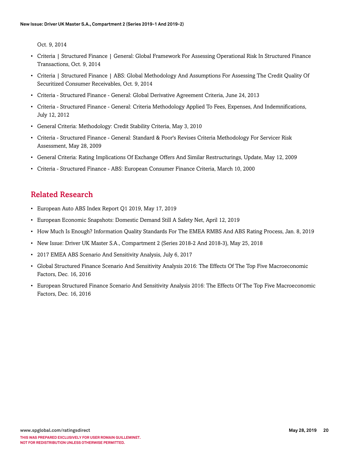Oct. 9, 2014

- Criteria | Structured Finance | General: Global Framework For Assessing Operational Risk In Structured Finance Transactions, Oct. 9, 2014
- Criteria | Structured Finance | ABS: Global Methodology And Assumptions For Assessing The Credit Quality Of Securitized Consumer Receivables, Oct. 9, 2014
- Criteria Structured Finance General: Global Derivative Agreement Criteria, June 24, 2013
- Criteria Structured Finance General: Criteria Methodology Applied To Fees, Expenses, And Indemnifications, July 12, 2012
- General Criteria: Methodology: Credit Stability Criteria, May 3, 2010
- Criteria Structured Finance General: Standard & Poor's Revises Criteria Methodology For Servicer Risk Assessment, May 28, 2009
- General Criteria: Rating Implications Of Exchange Offers And Similar Restructurings, Update, May 12, 2009
- Criteria Structured Finance ABS: European Consumer Finance Criteria, March 10, 2000

### <span id="page-19-0"></span>Related Research

- European Auto ABS Index Report Q1 2019, May 17, 2019
- European Economic Snapshots: Domestic Demand Still A Safety Net, April 12, 2019
- How Much Is Enough? Information Quality Standards For The EMEA RMBS And ABS Rating Process, Jan. 8, 2019
- New Issue: Driver UK Master S.A., Compartment 2 (Series 2018-2 And 2018-3), May 25, 2018
- 2017 EMEA ABS Scenario And Sensitivity Analysis, July 6, 2017
- Global Structured Finance Scenario And Sensitivity Analysis 2016: The Effects Of The Top Five Macroeconomic Factors, Dec. 16, 2016
- European Structured Finance Scenario And Sensitivity Analysis 2016: The Effects Of The Top Five Macroeconomic Factors, Dec. 16, 2016